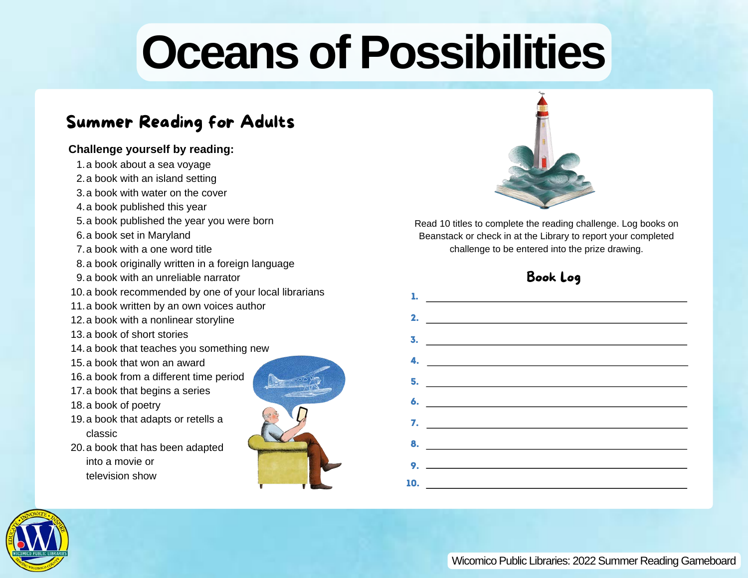# **Oceans of Possibilities**

## Summer Reading for Adults

#### **Challenge yourself by reading:**

1.a book about a sea voyage 2.a book with an island setting 3.a book with water on the cover 4.a book published this year 5.a book published the year you were born 6.a book set in Maryland 7.a book with a one word title 8.a book originally written in a foreign language 9.a book with an unreliable narrator 10.a book recommended by one of your local librarians 11.a book written by an own voices author 12. a book with a nonlinear storyline 13.a book of short stories 14. a book that teaches you something new 15.a book that won an award 16. a book from a different time period 17.a book that begins a series 18. a book of poetry 19. a book that adapts or retells a classic 20. a book that has been adapted into a movie or television show





Read 10 titles to complete the reading challenge. Log books on Beanstack or check in at the Library to report your completed challenge to be entered into the prize drawing.

### Book Log